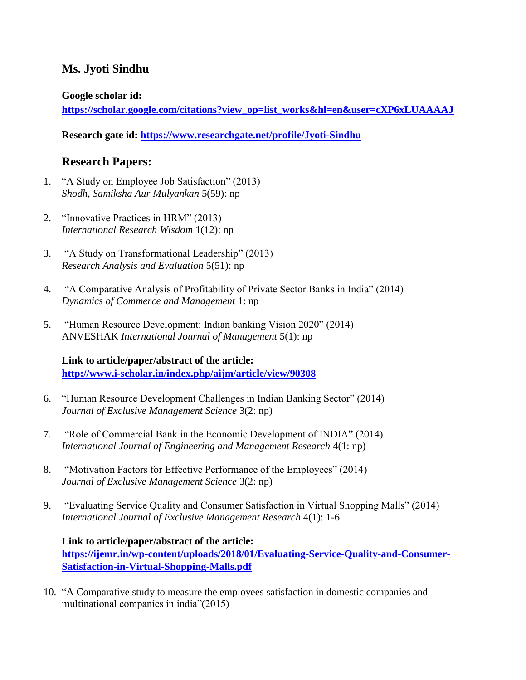# **Ms. Jyoti Sindhu**

#### **Google scholar id:**

**[https://scholar.google.com/citations?view\\_op=list\\_works&hl=en&user=cXP6xLUAAAAJ](https://scholar.google.com/citations?view_op=list_works&hl=en&user=cXP6xLUAAAAJ)**

**Research gate id:<https://www.researchgate.net/profile/Jyoti-Sindhu>**

# **Research Papers:**

- 1. "A Study on Employee Job Satisfaction" (2013) *Shodh, Samiksha Aur Mulyankan* 5(59): np
- 2. "Innovative Practices in HRM" (2013) *International Research Wisdom* 1(12): np
- 3. "A Study on Transformational Leadership" (2013) *Research Analysis and Evaluation* 5(51): np
- 4. "A Comparative Analysis of Profitability of Private Sector Banks in India" (2014) *Dynamics of Commerce and Management* 1: np
- 5. "Human Resource Development: Indian banking Vision 2020" (2014) ANVESHAK *International Journal of Management* 5(1): np

## **Link to article/paper/abstract of the article: <http://www.i-scholar.in/index.php/aijm/article/view/90308>**

- 6. "Human Resource Development Challenges in Indian Banking Sector" (2014) *Journal of Exclusive Management Science* 3(2: np)
- 7. "Role of Commercial Bank in the Economic Development of INDIA" (2014) *International Journal of Engineering and Management Research* 4(1: np)
- 8. "Motivation Factors for Effective Performance of the Employees" (2014) *Journal of Exclusive Management Science* 3(2: np)
- 9. "Evaluating Service Quality and Consumer Satisfaction in Virtual Shopping Malls" (2014) *International Journal of Exclusive Management Research* 4(1): 1-6.

## **Link to article/paper/abstract of the article:**

**[https://ijemr.in/wp-content/uploads/2018/01/Evaluating-Service-Quality-and-Consumer-](https://ijemr.in/wp-content/uploads/2018/01/Evaluating-Service-Quality-and-Consumer-Satisfaction-in-Virtual-Shopping-Malls.pdf)[Satisfaction-in-Virtual-Shopping-Malls.pdf](https://ijemr.in/wp-content/uploads/2018/01/Evaluating-Service-Quality-and-Consumer-Satisfaction-in-Virtual-Shopping-Malls.pdf)**

10. "A Comparative study to measure the employees satisfaction in domestic companies and multinational companies in india"(2015)